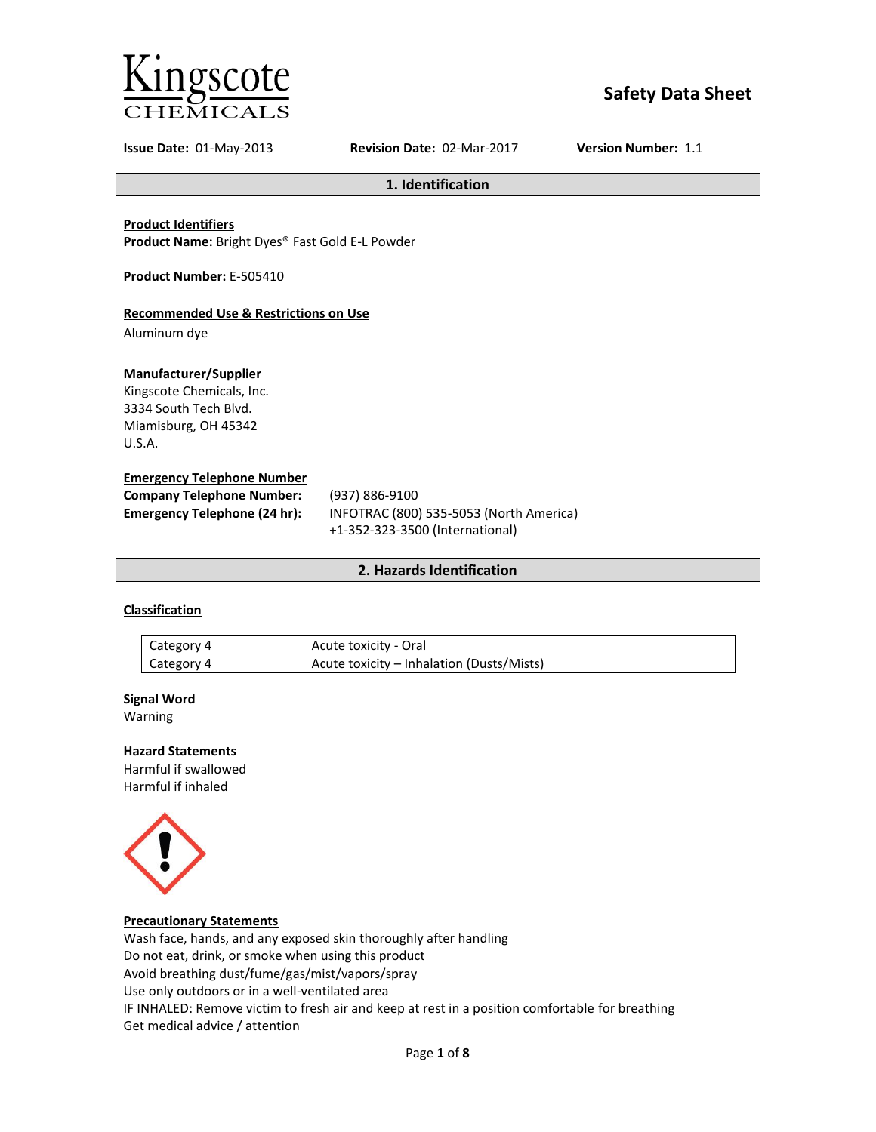

# **Safety Data Sheet**

**Issue Date:** 01-May-2013 **Revision Date:** 02-Mar-2017 **Version Number:** 1.1

**1. Identification**

**Product Identifiers**

**Product Name:** Bright Dyes® Fast Gold E-L Powder

**Product Number:** E-505410

### **Recommended Use & Restrictions on Use**

Aluminum dye

### **Manufacturer/Supplier**

Kingscote Chemicals, Inc. 3334 South Tech Blvd. Miamisburg, OH 45342 U.S.A.

#### **Emergency Telephone Number**

| <b>Company Telephone Number:</b> | (937) 886-9100                          |
|----------------------------------|-----------------------------------------|
| Emergency Telephone (24 hr):     | INFOTRAC (800) 535-5053 (North America) |
|                                  | +1-352-323-3500 (International)         |

### **2. Hazards Identification**

### **Classification**

| Category 4 | Acute toxicity - Oral                     |
|------------|-------------------------------------------|
| Category 4 | Acute toxicity – Inhalation (Dusts/Mists) |

#### **Signal Word**

Warning

#### **Hazard Statements**

Harmful if swallowed Harmful if inhaled



### **Precautionary Statements**

Wash face, hands, and any exposed skin thoroughly after handling Do not eat, drink, or smoke when using this product Avoid breathing dust/fume/gas/mist/vapors/spray Use only outdoors or in a well-ventilated area IF INHALED: Remove victim to fresh air and keep at rest in a position comfortable for breathing Get medical advice / attention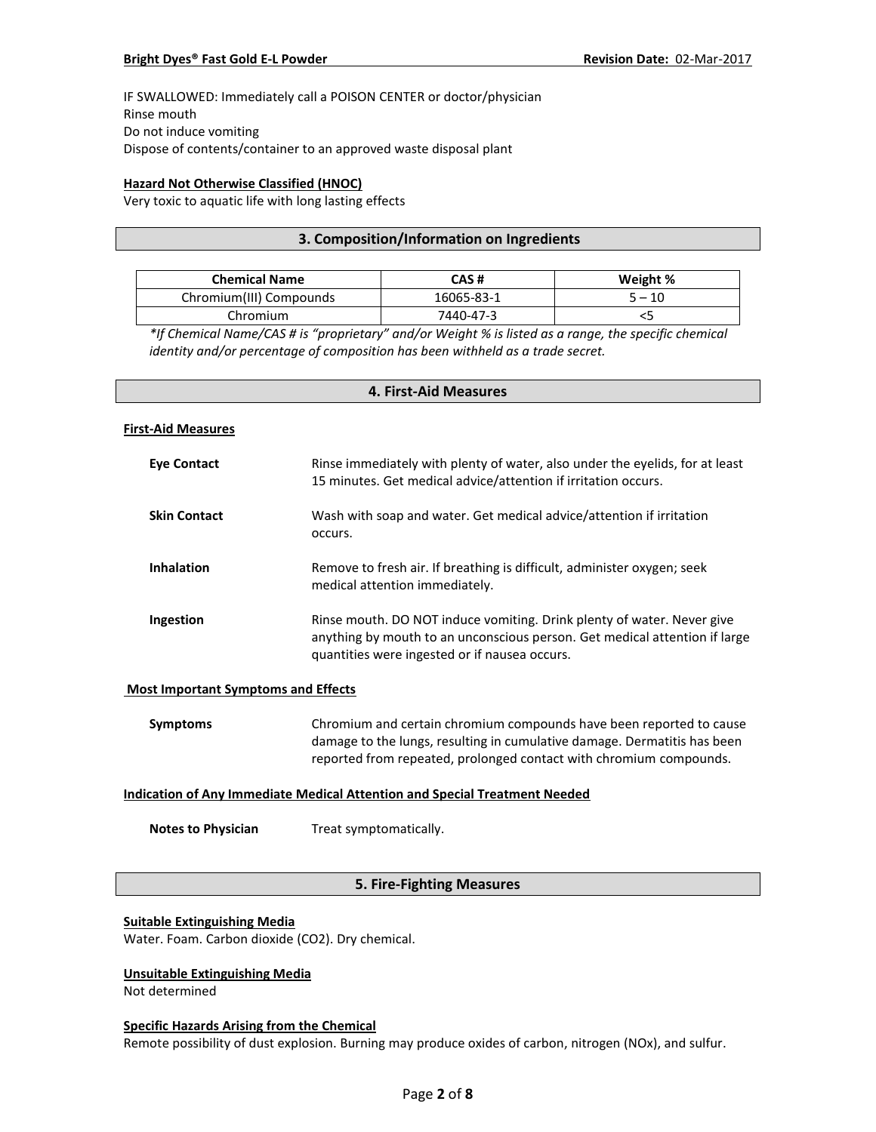IF SWALLOWED: Immediately call a POISON CENTER or doctor/physician Rinse mouth Do not induce vomiting Dispose of contents/container to an approved waste disposal plant

### **Hazard Not Otherwise Classified (HNOC)**

Very toxic to aquatic life with long lasting effects

### **3. Composition/Information on Ingredients**

| <b>Chemical Name</b>    | CAS #      | Weight % |
|-------------------------|------------|----------|
| Chromium(III) Compounds | 16065-83-1 | $5 - 10$ |
| Chromium                | 7440-47-3  |          |

*\*If Chemical Name/CAS # is "proprietary" and/or Weight % is listed as a range, the specific chemical identity and/or percentage of composition has been withheld as a trade secret.*

# **4. First-Aid Measures**

#### **First-Aid Measures**

| <b>Eye Contact</b>  | Rinse immediately with plenty of water, also under the eyelids, for at least<br>15 minutes. Get medical advice/attention if irritation occurs.                                                        |
|---------------------|-------------------------------------------------------------------------------------------------------------------------------------------------------------------------------------------------------|
| <b>Skin Contact</b> | Wash with soap and water. Get medical advice/attention if irritation<br>occurs.                                                                                                                       |
| <b>Inhalation</b>   | Remove to fresh air. If breathing is difficult, administer oxygen; seek<br>medical attention immediately.                                                                                             |
| Ingestion           | Rinse mouth. DO NOT induce vomiting. Drink plenty of water. Never give<br>anything by mouth to an unconscious person. Get medical attention if large<br>quantities were ingested or if nausea occurs. |

#### **Most Important Symptoms and Effects**

| Symptoms | Chromium and certain chromium compounds have been reported to cause      |
|----------|--------------------------------------------------------------------------|
|          | damage to the lungs, resulting in cumulative damage. Dermatitis has been |
|          | reported from repeated, prolonged contact with chromium compounds.       |

### **Indication of Any Immediate Medical Attention and Special Treatment Needed**

**Notes to Physician** Treat symptomatically.

### **5. Fire-Fighting Measures**

#### **Suitable Extinguishing Media**

Water. Foam. Carbon dioxide (CO2). Dry chemical.

### **Unsuitable Extinguishing Media**

Not determined

#### **Specific Hazards Arising from the Chemical**

Remote possibility of dust explosion. Burning may produce oxides of carbon, nitrogen (NOx), and sulfur.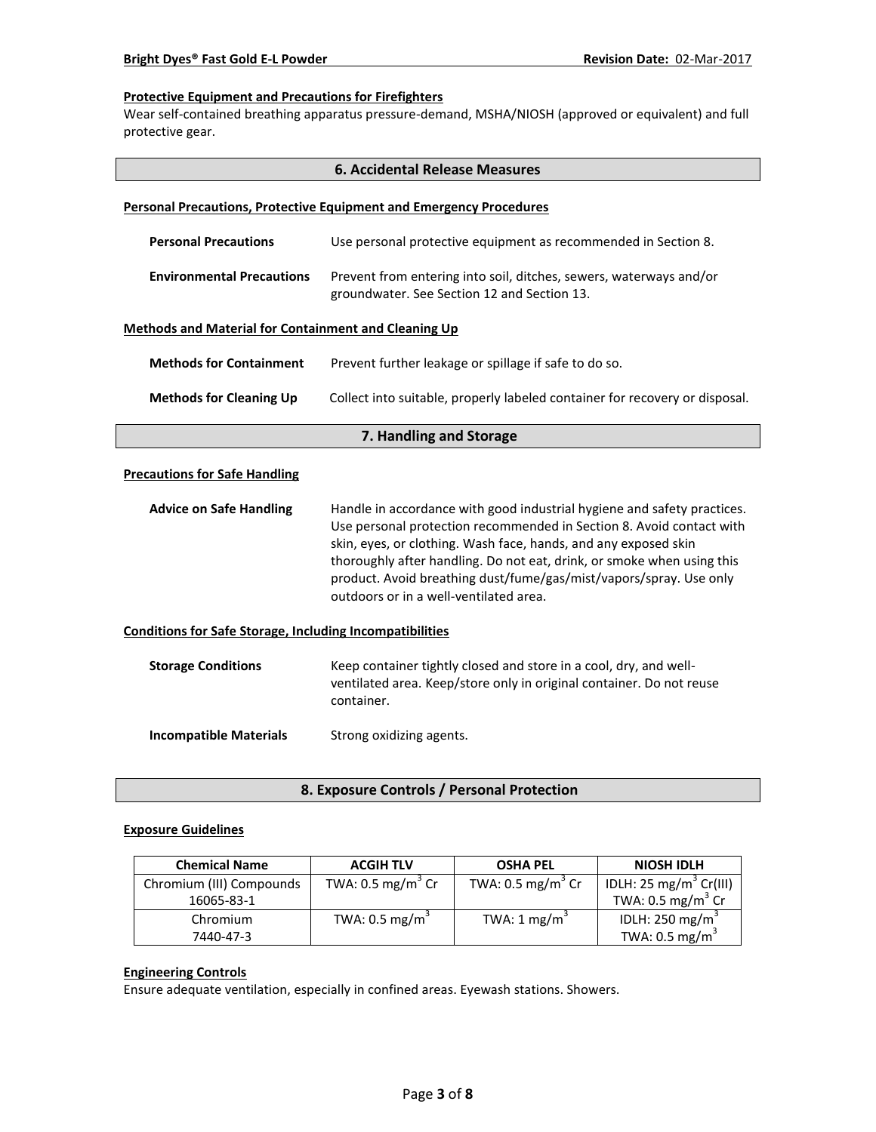### **Protective Equipment and Precautions for Firefighters**

Wear self-contained breathing apparatus pressure-demand, MSHA/NIOSH (approved or equivalent) and full protective gear.

|                                                                 | <b>6. Accidental Release Measures</b>                                                                                                                                                                                                                                                                                                                                                                        |  |
|-----------------------------------------------------------------|--------------------------------------------------------------------------------------------------------------------------------------------------------------------------------------------------------------------------------------------------------------------------------------------------------------------------------------------------------------------------------------------------------------|--|
|                                                                 | <b>Personal Precautions, Protective Equipment and Emergency Procedures</b>                                                                                                                                                                                                                                                                                                                                   |  |
| <b>Personal Precautions</b>                                     | Use personal protective equipment as recommended in Section 8.                                                                                                                                                                                                                                                                                                                                               |  |
| <b>Environmental Precautions</b>                                | Prevent from entering into soil, ditches, sewers, waterways and/or<br>groundwater. See Section 12 and Section 13.                                                                                                                                                                                                                                                                                            |  |
| <b>Methods and Material for Containment and Cleaning Up</b>     |                                                                                                                                                                                                                                                                                                                                                                                                              |  |
| <b>Methods for Containment</b>                                  | Prevent further leakage or spillage if safe to do so.                                                                                                                                                                                                                                                                                                                                                        |  |
| <b>Methods for Cleaning Up</b>                                  | Collect into suitable, properly labeled container for recovery or disposal.                                                                                                                                                                                                                                                                                                                                  |  |
|                                                                 | 7. Handling and Storage                                                                                                                                                                                                                                                                                                                                                                                      |  |
| <b>Precautions for Safe Handling</b>                            |                                                                                                                                                                                                                                                                                                                                                                                                              |  |
| <b>Advice on Safe Handling</b>                                  | Handle in accordance with good industrial hygiene and safety practices.<br>Use personal protection recommended in Section 8. Avoid contact with<br>skin, eyes, or clothing. Wash face, hands, and any exposed skin<br>thoroughly after handling. Do not eat, drink, or smoke when using this<br>product. Avoid breathing dust/fume/gas/mist/vapors/spray. Use only<br>outdoors or in a well-ventilated area. |  |
| <b>Conditions for Safe Storage, Including Incompatibilities</b> |                                                                                                                                                                                                                                                                                                                                                                                                              |  |
| <b>Storage Conditions</b>                                       | Keep container tightly closed and store in a cool, dry, and well-<br>ventilated area. Keep/store only in original container. Do not reuse<br>container.                                                                                                                                                                                                                                                      |  |
| <b>Incompatible Materials</b>                                   | Strong oxidizing agents.                                                                                                                                                                                                                                                                                                                                                                                     |  |

**8. Exposure Controls / Personal Protection**

#### **Exposure Guidelines**

| <b>Chemical Name</b>     | <b>ACGIH TLV</b>             | <b>OSHA PEL</b>              | <b>NIOSH IDLH</b>                  |
|--------------------------|------------------------------|------------------------------|------------------------------------|
| Chromium (III) Compounds | TWA: $0.5 \text{ mg/m}^3$ Cr | TWA: $0.5 \text{ mg/m}^3$ Cr | IDLH: 25 mg/m <sup>3</sup> Cr(III) |
| 16065-83-1               |                              |                              | TWA: $0.5 \text{ mg/m}^3$ Cr       |
| Chromium                 | TWA: $0.5 \text{ mg/m}^3$    | TWA: $1 \text{ mg/m}^3$      | IDLH: 250 mg/m <sup>3</sup>        |
| 7440-47-3                |                              |                              | TWA: $0.5 \text{ mg/m}^3$          |

### **Engineering Controls**

Ensure adequate ventilation, especially in confined areas. Eyewash stations. Showers.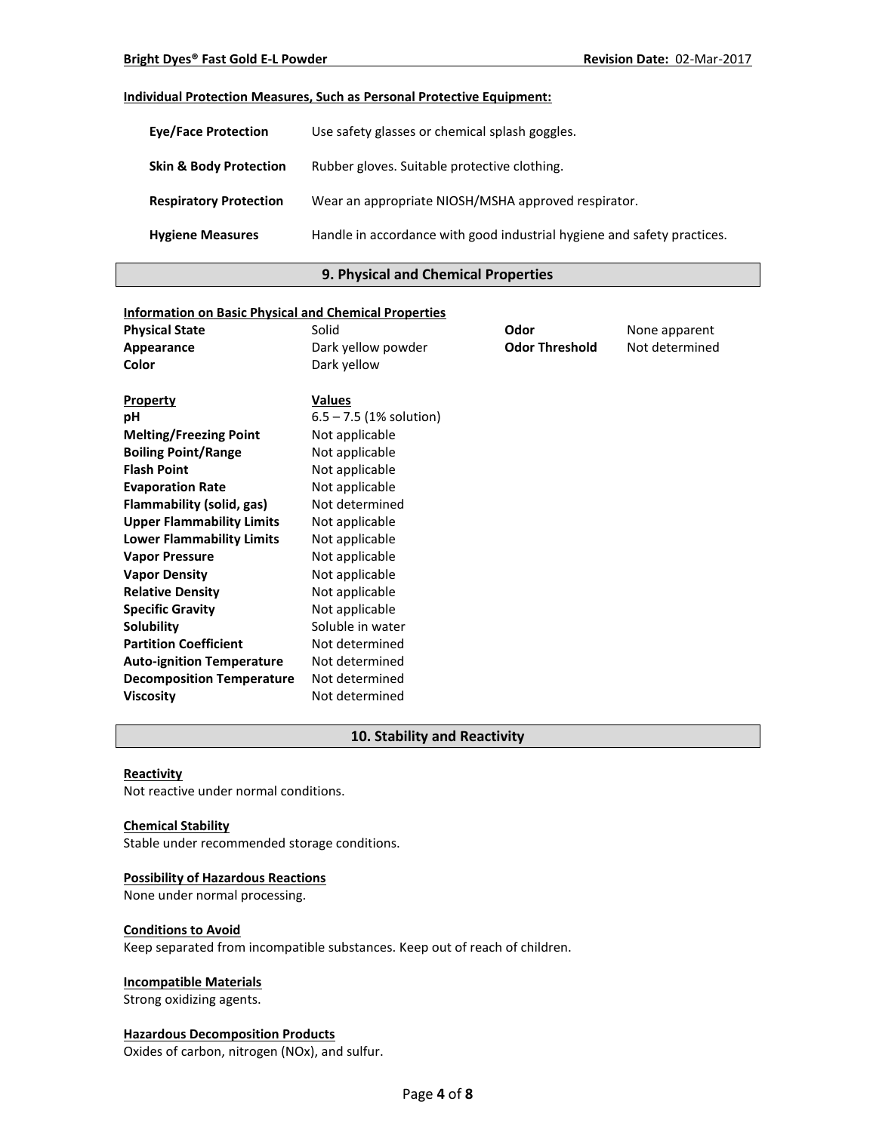### **Individual Protection Measures, Such as Personal Protective Equipment:**

| <b>Eve/Face Protection</b>        | Use safety glasses or chemical splash goggles.                          |
|-----------------------------------|-------------------------------------------------------------------------|
| <b>Skin &amp; Body Protection</b> | Rubber gloves. Suitable protective clothing.                            |
| <b>Respiratory Protection</b>     | Wear an appropriate NIOSH/MSHA approved respirator.                     |
| <b>Hygiene Measures</b>           | Handle in accordance with good industrial hygiene and safety practices. |

### **9. Physical and Chemical Properties**

| <b>Information on Basic Physical and Chemical Properties</b> |                           |                       |                |
|--------------------------------------------------------------|---------------------------|-----------------------|----------------|
| <b>Physical State</b>                                        | Solid                     | Odor                  | None apparent  |
| Appearance                                                   | Dark yellow powder        | <b>Odor Threshold</b> | Not determined |
| Color                                                        | Dark yellow               |                       |                |
|                                                              |                           |                       |                |
| <b>Property</b>                                              | <b>Values</b>             |                       |                |
| рH                                                           | $6.5 - 7.5$ (1% solution) |                       |                |
| <b>Melting/Freezing Point</b>                                | Not applicable            |                       |                |
| <b>Boiling Point/Range</b>                                   | Not applicable            |                       |                |
| <b>Flash Point</b>                                           | Not applicable            |                       |                |
| <b>Evaporation Rate</b>                                      | Not applicable            |                       |                |
| Flammability (solid, gas)                                    | Not determined            |                       |                |
| <b>Upper Flammability Limits</b>                             | Not applicable            |                       |                |
| <b>Lower Flammability Limits</b>                             | Not applicable            |                       |                |
| <b>Vapor Pressure</b>                                        | Not applicable            |                       |                |
| <b>Vapor Density</b>                                         | Not applicable            |                       |                |
| <b>Relative Density</b>                                      | Not applicable            |                       |                |
| <b>Specific Gravity</b>                                      | Not applicable            |                       |                |
| Solubility                                                   | Soluble in water          |                       |                |
| <b>Partition Coefficient</b>                                 | Not determined            |                       |                |
| <b>Auto-ignition Temperature</b>                             | Not determined            |                       |                |
| <b>Decomposition Temperature</b>                             | Not determined            |                       |                |
| <b>Viscosity</b>                                             | Not determined            |                       |                |

### **10. Stability and Reactivity**

#### **Reactivity**

Not reactive under normal conditions.

#### **Chemical Stability**

Stable under recommended storage conditions.

### **Possibility of Hazardous Reactions**

None under normal processing.

#### **Conditions to Avoid**

Keep separated from incompatible substances. Keep out of reach of children.

### **Incompatible Materials**

Strong oxidizing agents.

### **Hazardous Decomposition Products**

Oxides of carbon, nitrogen (NOx), and sulfur.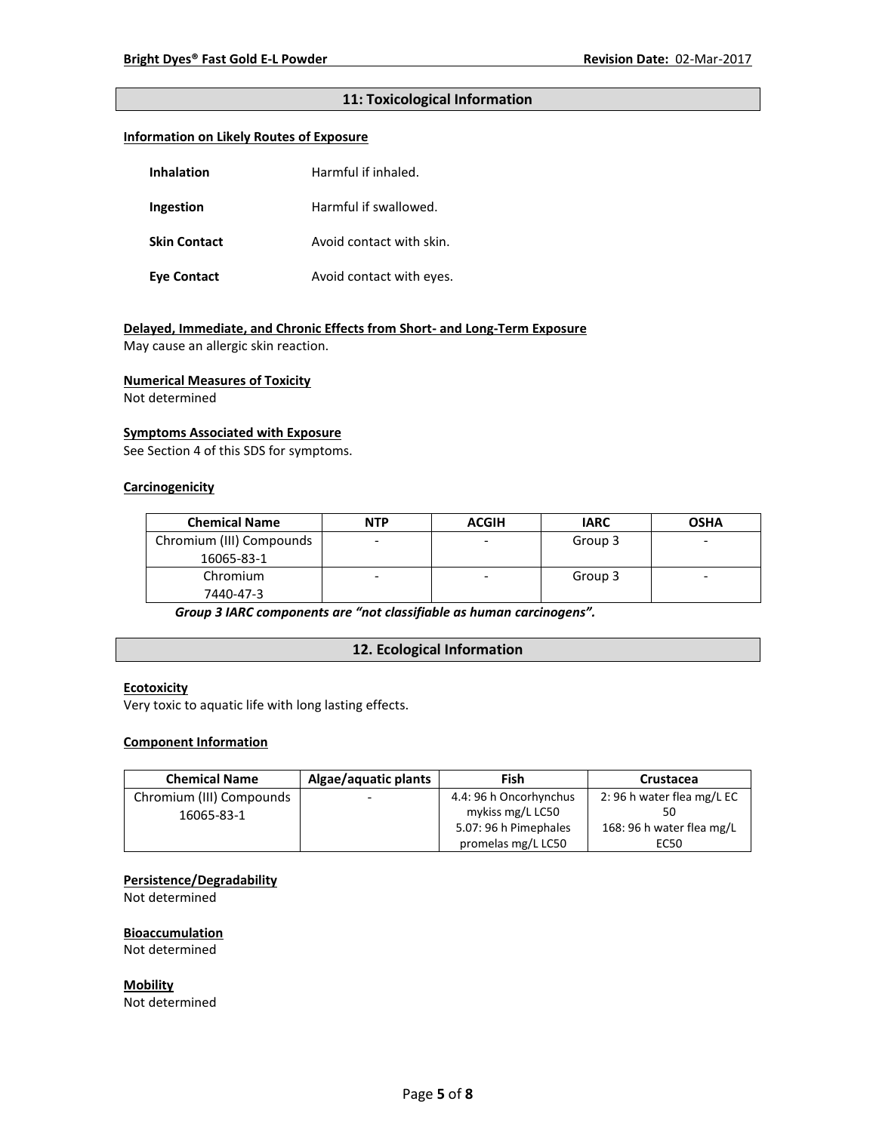### **11: Toxicological Information**

### **Information on Likely Routes of Exposure**

| Inhalation          | Harmful if inhaled.      |
|---------------------|--------------------------|
| Ingestion           | Harmful if swallowed.    |
| <b>Skin Contact</b> | Avoid contact with skin. |
| Eye Contact         | Avoid contact with eyes. |

### **Delayed, Immediate, and Chronic Effects from Short- and Long-Term Exposure**

May cause an allergic skin reaction.

#### **Numerical Measures of Toxicity**

Not determined

#### **Symptoms Associated with Exposure**

See Section 4 of this SDS for symptoms.

### **Carcinogenicity**

| <b>Chemical Name</b>     | <b>NTP</b> | <b>ACGIH</b> | <b>IARC</b> | <b>OSHA</b> |
|--------------------------|------------|--------------|-------------|-------------|
| Chromium (III) Compounds |            |              | Group 3     | -           |
| 16065-83-1               |            |              |             |             |
| Chromium                 |            | ۰            | Group 3     | -           |
| 7440-47-3                |            |              |             |             |

*Group 3 IARC components are "not classifiable as human carcinogens".*

### **12. Ecological Information**

### **Ecotoxicity**

Very toxic to aquatic life with long lasting effects.

### **Component Information**

| <b>Chemical Name</b>     | Algae/aquatic plants     | Fish                   | Crustacea                 |
|--------------------------|--------------------------|------------------------|---------------------------|
| Chromium (III) Compounds | $\overline{\phantom{0}}$ | 4.4: 96 h Oncorhynchus | 2:96 h water flea mg/L EC |
| 16065-83-1               |                          | mykiss mg/L LC50       |                           |
|                          |                          | 5.07: 96 h Pimephales  | 168: 96 h water flea mg/L |
|                          |                          | promelas mg/L LC50     | EC50                      |

### **Persistence/Degradability**

Not determined

#### **Bioaccumulation**

Not determined

**Mobility** Not determined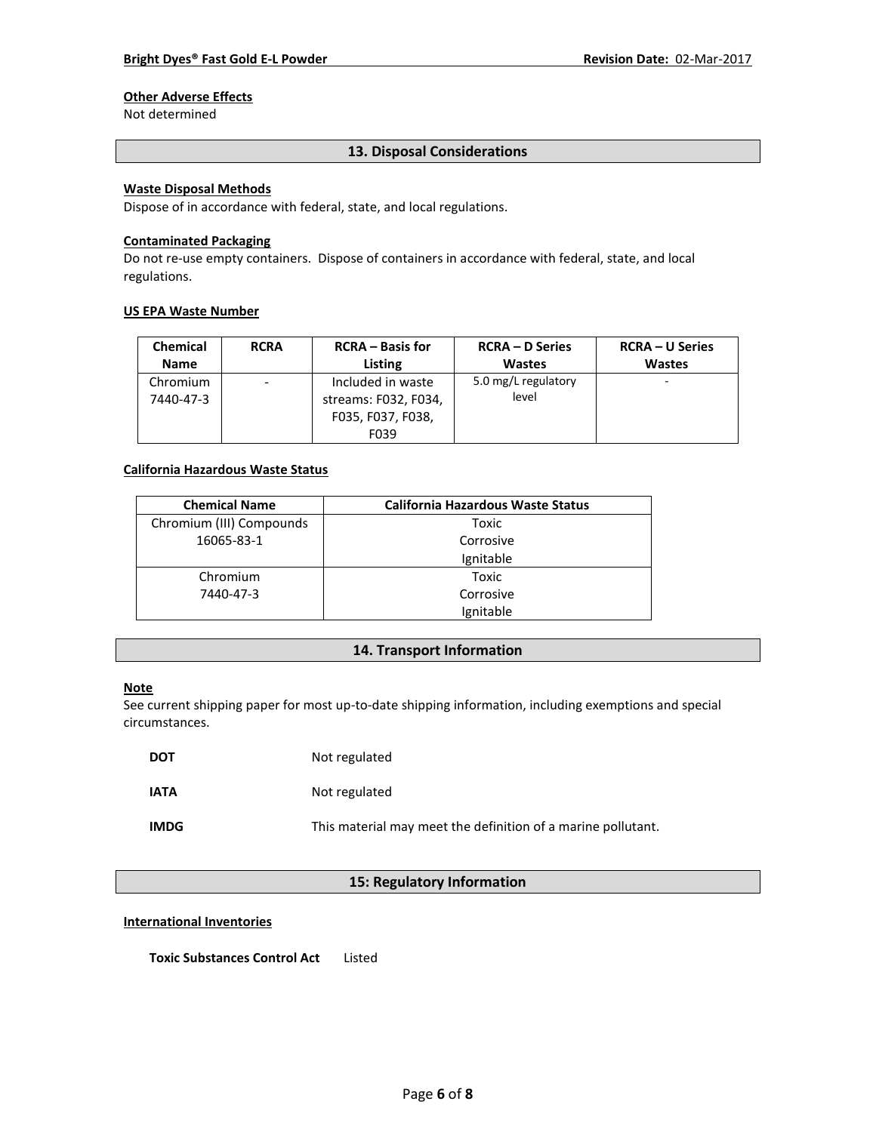# **Other Adverse Effects**

Not determined

### **13. Disposal Considerations**

### **Waste Disposal Methods**

Dispose of in accordance with federal, state, and local regulations.

#### **Contaminated Packaging**

Do not re-use empty containers.Dispose of containers in accordance with federal, state, and local regulations.

#### **US EPA Waste Number**

| <b>Chemical</b>       | <b>RCRA</b> | <b>RCRA</b> – Basis for                                                | <b>RCRA – D Series</b>       | <b>RCRA – U Series</b> |
|-----------------------|-------------|------------------------------------------------------------------------|------------------------------|------------------------|
| <b>Name</b>           |             | Listing                                                                | <b>Wastes</b>                | <b>Wastes</b>          |
| Chromium<br>7440-47-3 | -           | Included in waste<br>streams: F032, F034,<br>F035, F037, F038,<br>F039 | 5.0 mg/L regulatory<br>level |                        |

### **California Hazardous Waste Status**

| <b>Chemical Name</b>     | <b>California Hazardous Waste Status</b> |
|--------------------------|------------------------------------------|
| Chromium (III) Compounds | Toxic                                    |
| 16065-83-1               | Corrosive                                |
|                          | Ignitable                                |
| Chromium                 | Toxic                                    |
| 7440-47-3                | Corrosive                                |
|                          | Ignitable                                |

### **14. Transport Information**

#### **Note**

See current shipping paper for most up-to-date shipping information, including exemptions and special circumstances.

| <b>DOT</b>  | Not regulated                                                |
|-------------|--------------------------------------------------------------|
| <b>IATA</b> | Not regulated                                                |
| <b>IMDG</b> | This material may meet the definition of a marine pollutant. |

## **15: Regulatory Information**

#### **International Inventories**

**Toxic Substances Control Act** Listed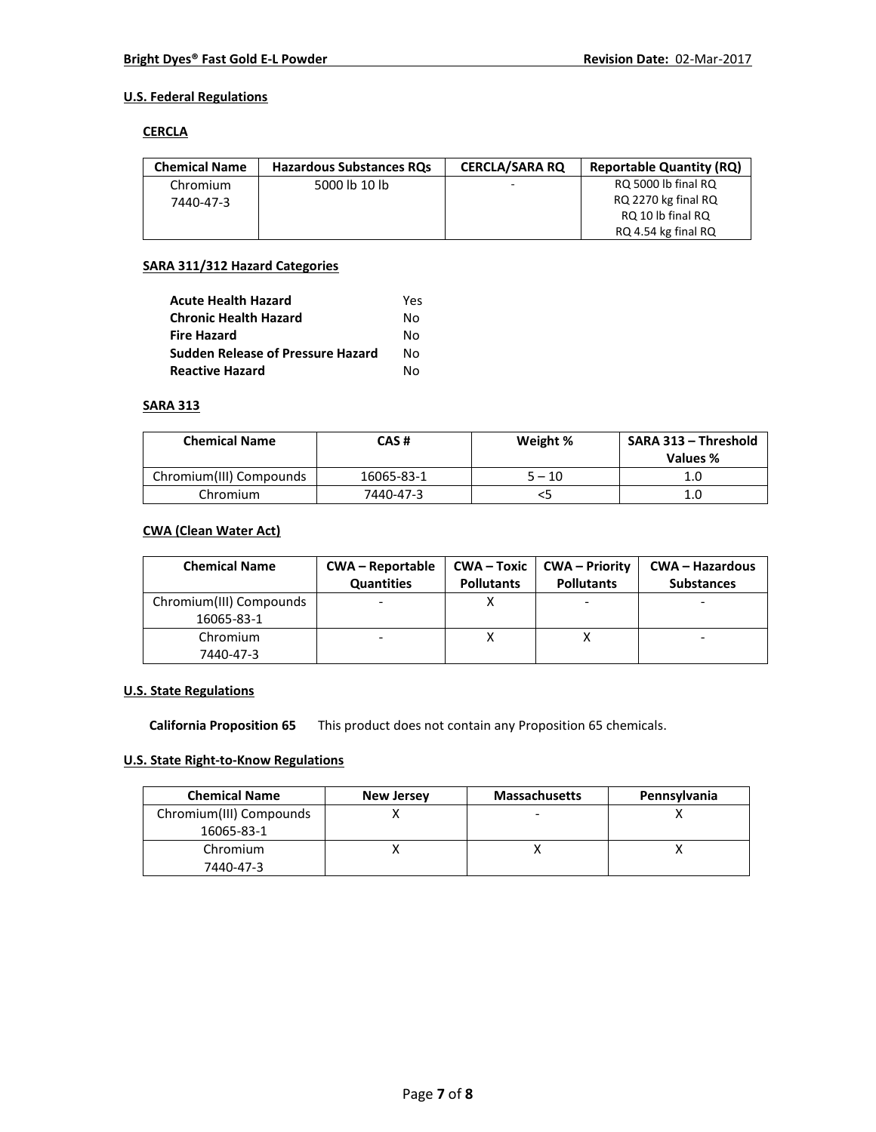### **U.S. Federal Regulations**

#### **CERCLA**

| <b>Chemical Name</b> | <b>Hazardous Substances ROs</b> | <b>CERCLA/SARA RO</b>    | <b>Reportable Quantity (RQ)</b> |
|----------------------|---------------------------------|--------------------------|---------------------------------|
| Chromium             | 5000 lb 10 lb                   | $\overline{\phantom{a}}$ | RQ 5000 lb final RQ             |
| 7440-47-3            |                                 |                          | RQ 2270 kg final RQ             |
|                      |                                 |                          | RQ 10 lb final RQ               |
|                      |                                 |                          | RQ 4.54 kg final RQ             |

### **SARA 311/312 Hazard Categories**

| <b>Acute Health Hazard</b>               | Yes |
|------------------------------------------|-----|
| <b>Chronic Health Hazard</b>             | N٥  |
| <b>Fire Hazard</b>                       | N٥  |
| <b>Sudden Release of Pressure Hazard</b> | N٥  |
| <b>Reactive Hazard</b>                   | N٥  |

### **SARA 313**

| <b>Chemical Name</b>    | CAS#       | Weight % | SARA 313 - Threshold<br>Values % |
|-------------------------|------------|----------|----------------------------------|
| Chromium(III) Compounds | 16065-83-1 | $5 - 10$ |                                  |
| Chromium                | 7440-47-3  | כ>       | 1.C                              |

### **CWA (Clean Water Act)**

| <b>Chemical Name</b>                  | <b>CWA – Reportable</b><br><b>Quantities</b> | $CWA - Toxic$<br><b>Pollutants</b> | <b>CWA</b> – Priority<br><b>Pollutants</b> | <b>CWA - Hazardous</b><br><b>Substances</b> |
|---------------------------------------|----------------------------------------------|------------------------------------|--------------------------------------------|---------------------------------------------|
| Chromium(III) Compounds<br>16065-83-1 |                                              |                                    |                                            |                                             |
| Chromium<br>7440-47-3                 |                                              |                                    |                                            |                                             |

### **U.S. State Regulations**

**California Proposition 65** This product does not contain any Proposition 65 chemicals.

# **U.S. State Right-to-Know Regulations**

| <b>Chemical Name</b>    | <b>New Jersey</b> | <b>Massachusetts</b> | Pennsylvania |
|-------------------------|-------------------|----------------------|--------------|
| Chromium(III) Compounds |                   |                      |              |
| 16065-83-1              |                   |                      |              |
| Chromium                |                   |                      |              |
| 7440-47-3               |                   |                      |              |